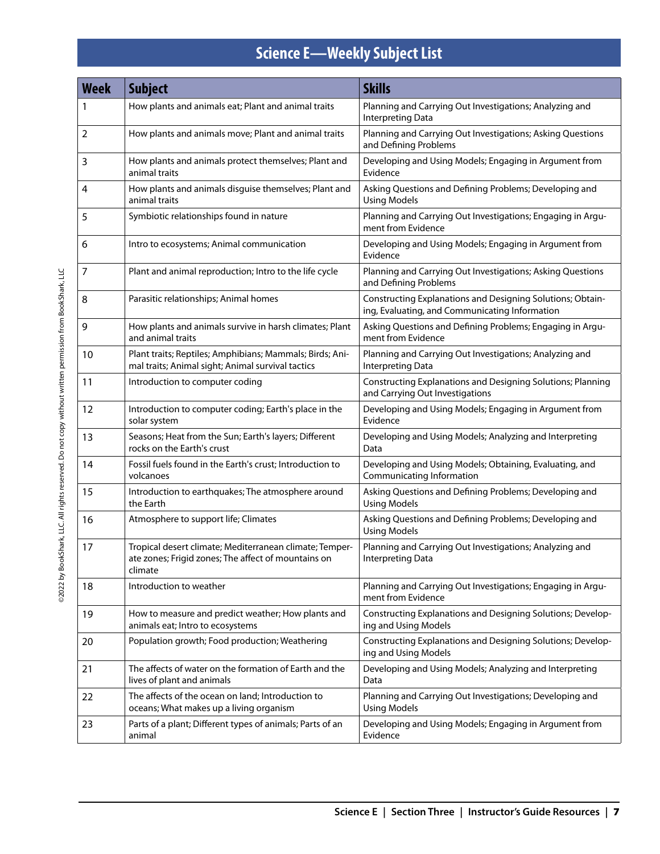## **Science E—Weekly Subject List**

| <b>Week</b>    | <b>Subject</b>                                                                                                            | <b>Skills</b>                                                                                                |
|----------------|---------------------------------------------------------------------------------------------------------------------------|--------------------------------------------------------------------------------------------------------------|
|                | How plants and animals eat; Plant and animal traits                                                                       | Planning and Carrying Out Investigations; Analyzing and<br>Interpreting Data                                 |
| $\overline{2}$ | How plants and animals move; Plant and animal traits                                                                      | Planning and Carrying Out Investigations; Asking Questions<br>and Defining Problems                          |
| 3              | How plants and animals protect themselves; Plant and<br>animal traits                                                     | Developing and Using Models; Engaging in Argument from<br>Evidence                                           |
| 4              | How plants and animals disguise themselves; Plant and<br>animal traits                                                    | Asking Questions and Defining Problems; Developing and<br><b>Using Models</b>                                |
| 5              | Symbiotic relationships found in nature                                                                                   | Planning and Carrying Out Investigations; Engaging in Argu-<br>ment from Evidence                            |
| 6              | Intro to ecosystems; Animal communication                                                                                 | Developing and Using Models; Engaging in Argument from<br>Evidence                                           |
| 7              | Plant and animal reproduction; Intro to the life cycle                                                                    | Planning and Carrying Out Investigations; Asking Questions<br>and Defining Problems                          |
| 8              | Parasitic relationships; Animal homes                                                                                     | Constructing Explanations and Designing Solutions; Obtain-<br>ing, Evaluating, and Communicating Information |
| 9              | How plants and animals survive in harsh climates; Plant<br>and animal traits                                              | Asking Questions and Defining Problems; Engaging in Argu-<br>ment from Evidence                              |
| 10             | Plant traits; Reptiles; Amphibians; Mammals; Birds; Ani-<br>mal traits; Animal sight; Animal survival tactics             | Planning and Carrying Out Investigations; Analyzing and<br>Interpreting Data                                 |
| 11             | Introduction to computer coding                                                                                           | Constructing Explanations and Designing Solutions; Planning<br>and Carrying Out Investigations               |
| 12             | Introduction to computer coding; Earth's place in the<br>solar system                                                     | Developing and Using Models; Engaging in Argument from<br>Evidence                                           |
| 13             | Seasons; Heat from the Sun; Earth's layers; Different<br>rocks on the Earth's crust                                       | Developing and Using Models; Analyzing and Interpreting<br>Data                                              |
| 14             | Fossil fuels found in the Earth's crust; Introduction to<br>volcanoes                                                     | Developing and Using Models; Obtaining, Evaluating, and<br>Communicating Information                         |
| 15             | Introduction to earthquakes; The atmosphere around<br>the Earth                                                           | Asking Questions and Defining Problems; Developing and<br><b>Using Models</b>                                |
| 16             | Atmosphere to support life; Climates                                                                                      | Asking Questions and Defining Problems; Developing and<br><b>Using Models</b>                                |
| 17             | Tropical desert climate; Mediterranean climate; Temper-<br>ate zones; Frigid zones; The affect of mountains on<br>climate | Planning and Carrying Out Investigations; Analyzing and<br>Interpreting Data                                 |
| 18             | Introduction to weather                                                                                                   | Planning and Carrying Out Investigations; Engaging in Argu-<br>ment from Evidence                            |
| 19             | How to measure and predict weather; How plants and<br>animals eat; Intro to ecosystems                                    | Constructing Explanations and Designing Solutions; Develop-<br>ing and Using Models                          |
| 20             | Population growth; Food production; Weathering                                                                            | Constructing Explanations and Designing Solutions; Develop-<br>ing and Using Models                          |
| 21             | The affects of water on the formation of Earth and the<br>lives of plant and animals                                      | Developing and Using Models; Analyzing and Interpreting<br>Data                                              |
| 22             | The affects of the ocean on land; Introduction to<br>oceans; What makes up a living organism                              | Planning and Carrying Out Investigations; Developing and<br><b>Using Models</b>                              |
| 23             | Parts of a plant; Different types of animals; Parts of an<br>animal                                                       | Developing and Using Models; Engaging in Argument from<br>Evidence                                           |